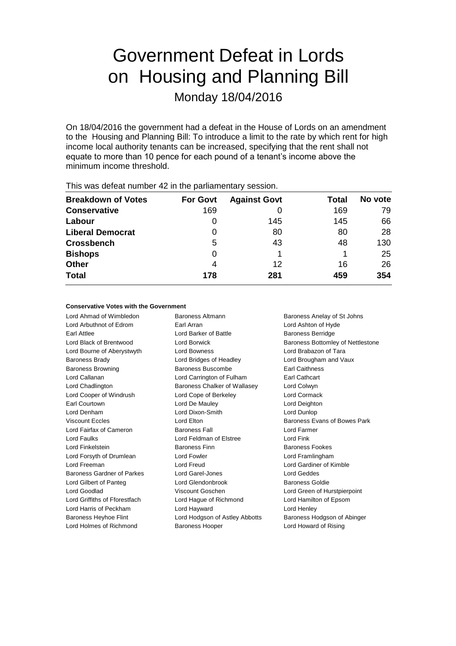# Government Defeat in Lords on Housing and Planning Bill

Monday 18/04/2016

On 18/04/2016 the government had a defeat in the House of Lords on an amendment to the Housing and Planning Bill: To introduce a limit to the rate by which rent for high income local authority tenants can be increased, specifying that the rent shall not equate to more than 10 pence for each pound of a tenant's income above the minimum income threshold.

| <b>Breakdown of Votes</b> | <b>For Govt</b> | <b>Against Govt</b> | Total | No vote |
|---------------------------|-----------------|---------------------|-------|---------|
| <b>Conservative</b>       | 169             |                     | 169   | 79      |
| Labour                    | 0               | 145                 | 145   | 66      |
| <b>Liberal Democrat</b>   | 0               | 80                  | 80    | 28      |
| <b>Crossbench</b>         | 5               | 43                  | 48    | 130     |
| <b>Bishops</b>            | 0               |                     |       | 25      |
| <b>Other</b>              | 4               | 12                  | 16    | 26      |
| <b>Total</b>              | 178             | 281                 | 459   | 354     |
|                           |                 |                     |       |         |

This was defeat number 42 in the parliamentary session.

#### **Conservative Votes with the Government**

Lord Arbuthnot of Edrom Earl Arran Lord Ashton of Hyde Earl Attlee **Lord Barker of Battle Baroness Berridge Baroness Berridge** Lord Bourne of Aberystwyth Lord Bowness Lord Brabazon of Tara Baroness Brady **Lord Bridges of Headley** Lord Brougham and Vaux Baroness Browning **Baroness Buscombe** Earl Caithness Lord Callanan Lord Carrington of Fulham Earl Cathcart Lord Chadlington Baroness Chalker of Wallasey Lord Colwyn Lord Cooper of Windrush Lord Cope of Berkeley Lord Cormack Earl Courtown Lord De Mauley Lord Deighton Lord Denham Lord Dixon-Smith Lord Dunlop Viscount Eccles **Lord Elton** Lord Elton **Baroness Evans of Bowes Park** Lord Fairfax of Cameron **Baroness Fall** Lord Farmer Lord Faulks Lord Feldman of Elstree Lord Fink Lord Finkelstein **Baroness Finn** Baroness Finn Baroness Fookes Lord Forsyth of Drumlean Lord Fowler Lord Framlingham Lord Freeman Lord Freud Lord Gardiner of Kimble Baroness Gardner of Parkes Lord Garel-Jones Lord Geddes Lord Gilbert of Panteg **Lord Glendonbrook** Baroness Goldie Lord Goodlad Viscount Goschen Lord Green of Hurstpierpoint Lord Griffiths of Fforestfach Lord Hague of Richmond Lord Hamilton of Epsom Lord Harris of Peckham Lord Hayward Lord Henley Baroness Heyhoe Flint Lord Hodgson of Astley Abbotts Baroness Hodgson of Abinger

Lord Ahmad of Wimbledon Baroness Altmann Baroness Anelay of St Johns Lord Holmes of Richmond Baroness Hooper Baroness Hooper Lord Howard of Rising

Lord Black of Brentwood **Lord Borwick** Baroness Bottomley of Nettlestone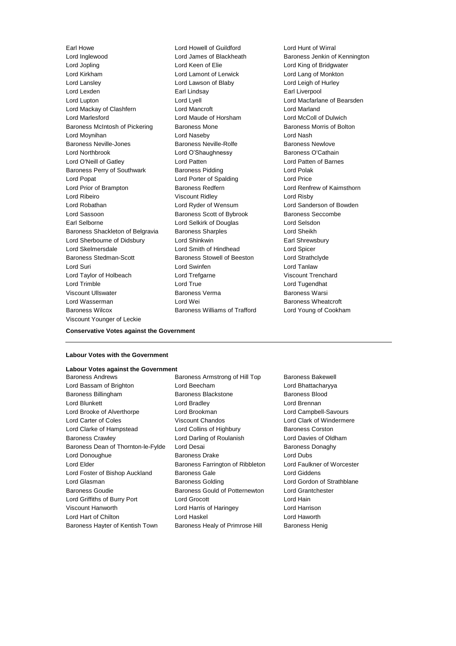Earl Howe Lord Howell of Guildford Cord Hunt of Wirral<br>
Lord Inglewood Lord James of Blackheath Baroness Jenkin of Lord Inglewood Lord James of Blackheath Baroness Jenkin of Kennington Lord Jopling Lord Keen of Elie Lord King of Bridgwater Lord Kirkham Lord Lamont of Lerwick Lord Lang of Monkton Lord Lansley **Lord Lawson of Blaby** Lord Lord Leigh of Hurley Lord Lexden **Earl Lindsay** Earl Lindsay **Earl Liverpool** Lord Lupton Lord Lyell Lord Macfarlane of Bearsden Lord Mackay of Clashfern **Lord Mancroft** Lord Mancroft **Lord Marland** Lord Marlesford Lord Maude of Horsham Lord McColl of Dulwich Baroness McIntosh of Pickering Baroness Mone Baroness Morris of Bolton Lord Moynihan Lord Naseby Lord Nash Baroness Neville-Jones **Baroness Neville-Rolfe** Baroness Newlove Lord Northbrook Lord O'Shaughnessy Baroness O'Cathain Lord O'Neill of Gatley Lord Patten Lord Patten of Barnes Baroness Perry of Southwark Baroness Pidding Baroness Pidding Lord Polak Lord Popat Lord Porter of Spalding Lord Price Lord Prior of Brampton Baroness Redfern Lord Renfrew of Kaimsthorn Lord Ribeiro Viscount Ridley Lord Risby Lord Robathan Lord Ryder of Wensum Lord Sanderson of Bowden Lord Sassoon **Baroness Scott of Bybrook** Baroness Seccombe Earl Selborne Lord Selkirk of Douglas Lord Selsdon Baroness Shackleton of Belgravia Baroness Sharples **Baroness Sharples** Lord Sheikh Lord Sherbourne of Didsbury Lord Shinkwin **Earl Shinkwin** Earl Shrewsbury Lord Skelmersdale Lord Smith of Hindhead Lord Spicer Baroness Stedman-Scott Baroness Stowell of Beeston Lord Strathclyde Lord Suri Lord Swinfen Lord Tanlaw Lord Taylor of Holbeach Lord Trefgarne Viscount Trenchard Lord Trimble Lord True Lord Tugendhat Viscount Ullswater Baroness Verma Baroness Warsi Lord Wasserman **Lord Wei** Baroness Wheatcroft Baroness Wilcox Baroness Williams of Trafford Lord Young of Cookham Viscount Younger of Leckie

#### **Conservative Votes against the Government**

#### **Labour Votes with the Government**

#### **Labour Votes against the Government**

Lord Bassam of Brighton Lord Beecham Lord Bhattacharyya Baroness Billingham Baroness Blackstone Baroness Blood Lord Blunkett Lord Bradley Lord Brennan Lord Brooke of Alverthorpe Lord Brookman Lord Campbell-Savours Lord Carter of Coles Viscount Chandos Lord Clark of Windermere Lord Clarke of Hampstead Lord Collins of Highbury Baroness Corston Baroness Crawley Lord Darling of Roulanish Lord Davies of Oldham Baroness Dean of Thornton-le-Fylde Lord Desai **Baroness Danaghy** Baroness Donaghy Lord Donoughue Baroness Drake Lord Dubs Lord Elder **Baroness Farrington of Ribbleton** Lord Faulkner of Worcester Lord Foster of Bishop Auckland Baroness Gale **Baroness Collection** Lord Giddens Lord Glasman **Baroness Golding** Lord Gordon of Strathblane Baroness Goudie Baroness Gould of Potternewton Lord Grantchester Lord Griffiths of Burry Port Lord Grocott Lord Hain Viscount Hanworth Lord Harris of Haringey Lord Harrison Lord Hart of Chilton Lord Haskel Lord Haworth

Baroness Andrews **Baroness Armstrong of Hill Top** Baroness Bakewell Baroness Hayter of Kentish Town Baroness Healy of Primrose Hill Baroness Henig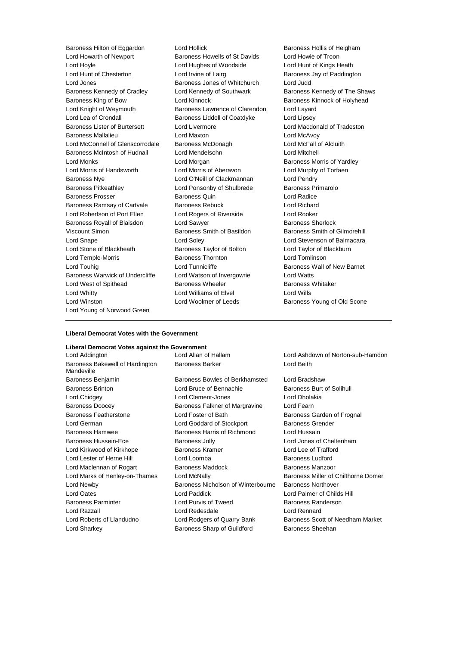Lord Howarth of Newport Baroness Howells of St Davids Lord Howie of Troon Lord Hoyle Lord Hughes of Woodside Lord Hunt of Kings Heath Lord Hunt of Chesterton **Lord Irvine of Lairg** Baroness Jay of Paddington Lord Jones **Baroness Jones of Whitchurch** Lord Judd Baroness Kennedy of Cradley **Lord Kennedy of Southwark** Baroness Kennedy of The Shaws Baroness King of Bow **Lord Kinnock** Baroness Kinnock of Holyhead Lord Knight of Weymouth Baroness Lawrence of Clarendon Lord Layard Lord Lea of Crondall **Baroness Liddell of Coatdyke** Lord Lipsey Baroness Lister of Burtersett Lord Livermore Lord Macdonald of Tradeston Baroness Mallalieu Lord Maxton Lord McAvoy Lord McConnell of Glenscorrodale Baroness McDonagh Lord McFall of Alcluith Baroness McIntosh of Hudnall Lord Mendelsohn Lord Mitchell Lord Monks Lord Morgan Baroness Morris of Yardley Lord Morris of Handsworth Lord Morris of Aberavon Lord Murphy of Torfaen Baroness Nye Lord O'Neill of Clackmannan Lord Pendry Baroness Pitkeathley Lord Ponsonby of Shulbrede Baroness Primarolo Baroness Prosser Baroness Quin Lord Radice Baroness Ramsay of Cartvale Baroness Rebuck Lord Richard Lord Robertson of Port Ellen Lord Rogers of Riverside Lord Rooker Baroness Royall of Blaisdon **Lord Sawyer Baroness Sherlock Baroness** Sherlock Viscount Simon Baroness Smith of Basildon Baroness Smith of Gilmorehill Lord Snape Lord Soley Lord Stevenson of Balmacara Lord Stone of Blackheath Baroness Taylor of Bolton Lord Taylor of Blackburn Lord Temple-Morris Baroness Thornton Lord Tomlinson Lord Touhig Lord Tunnicliffe Baroness Wall of New Barnet Baroness Warwick of Undercliffe Lord Watson of Invergowrie Lord Watts Lord West of Spithead **Baroness Wheeler** Baroness Wheeler Baroness Whitaker Lord Whitty Lord Williams of Elvel Lord Wills Lord Winston **Lord Woolmer of Leeds** Baroness Young of Old Scone Lord Young of Norwood Green

Baroness Hilton of Eggardon Lord Hollick Baroness Hollis of Heigham

#### **Liberal Democrat Votes with the Government**

#### **Liberal Democrat Votes against the Government**

Baroness Bakewell of Hardington Mandeville

Baroness Benjamin Baroness Bowles of Berkhamsted Lord Bradshaw Baroness Brinton **Baroness Brinton** Lord Bruce of Bennachie Baroness Burt of Solihull Lord Chidgey Lord Clement-Jones Lord Dholakia Baroness Doocey Baroness Falkner of Margravine Lord Fearn Baroness Featherstone Lord Foster of Bath Baroness Garden of Frognal Lord German **Lord Goddard of Stockport** Baroness Grender Baroness Hamwee **Baroness Harris of Richmond** Lord Hussain Baroness Hussein-Ece **Baroness Jolly** Baroness Jolly **Lord Jones of Cheltenham** Lord Kirkwood of Kirkhope Baroness Kramer Lord Lee of Trafford Lord Lester of Herne Hill **Lord Loomba Baroness Ludford Baroness Ludford** Lord Maclennan of Rogart Baroness Maddock Baroness Manzoor Lord Newby Baroness Nicholson of Winterbourne Baroness Northover Lord Oates Lord Paddick Lord Palmer of Childs Hill Baroness Parminter Lord Purvis of Tweed Baroness Randerson Lord Razzall Lord Redesdale Lord Rennard Lord Roberts of Llandudno Lord Rodgers of Quarry Bank Baroness Scott of Needham Market Lord Sharkey **Baroness Sharp of Guildford** Baroness Sheehan

Lord Addington Lord Allan of Hallam Lord Ashdown of Norton-sub-Hamdon Baroness Barker **Lord Beith** 

Lord Marks of Henley-on-Thames Lord McNally **Baroness Miller of Chilthorne Domer**